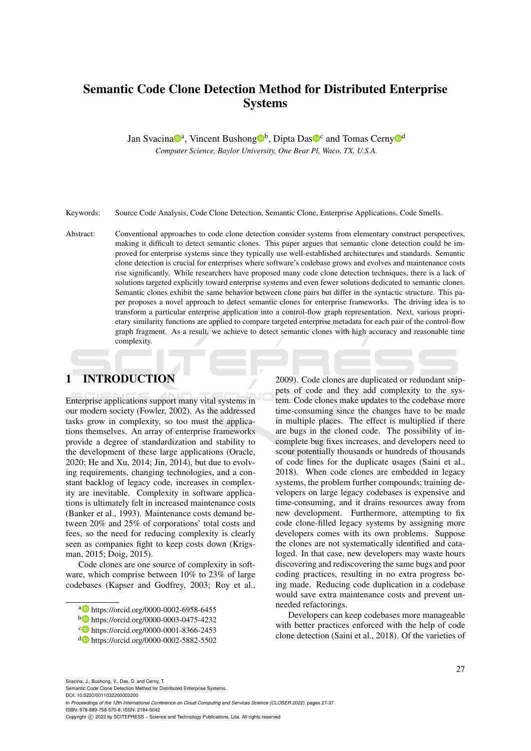# Semantic Code Clone Detection Method for Distributed Enterprise Systems

Jan Svacina<sup>n</sup>, Vincent Bushong<sup>n</sup>, Dipta Das<sup>n</sup><sup>c</sup> and Tomas Cerny<sup>nd</sup>

*Computer Science, Baylor University, One Bear Pl, Waco, TX, U.S.A.*

Keywords: Source Code Analysis, Code Clone Detection, Semantic Clone, Enterprise Applications, Code Smells.

Abstract: Conventional approaches to code clone detection consider systems from elementary construct perspectives, making it difficult to detect semantic clones. This paper argues that semantic clone detection could be improved for enterprise systems since they typically use well-established architectures and standards. Semantic clone detection is crucial for enterprises where software's codebase grows and evolves and maintenance costs rise significantly. While researchers have proposed many code clone detection techniques, there is a lack of solutions targeted explicitly toward enterprise systems and even fewer solutions dedicated to semantic clones. Semantic clones exhibit the same behavior between clone pairs but differ in the syntactic structure. This paper proposes a novel approach to detect semantic clones for enterprise frameworks. The driving idea is to transform a particular enterprise application into a control-flow graph representation. Next, various proprietary similarity functions are applied to compare targeted enterprise metadata for each pair of the control-flow graph fragment. As a result, we achieve to detect semantic clones with high accuracy and reasonable time complexity.

## 1 INTRODUCTION

Enterprise applications support many vital systems in our modern society (Fowler, 2002). As the addressed tasks grow in complexity, so too must the applications themselves. An array of enterprise frameworks provide a degree of standardization and stability to the development of these large applications (Oracle, 2020; He and Xu, 2014; Jin, 2014), but due to evolving requirements, changing technologies, and a constant backlog of legacy code, increases in complexity are inevitable. Complexity in software applications is ultimately felt in increased maintenance costs (Banker et al., 1993). Maintenance costs demand between 20% and 25% of corporations' total costs and fees, so the need for reducing complexity is clearly seen as companies fight to keep costs down (Krigsman, 2015; Doig, 2015).

Code clones are one source of complexity in software, which comprise between 10% to 23% of large codebases (Kapser and Godfrey, 2003; Roy et al.,

2009). Code clones are duplicated or redundant snippets of code and they add complexity to the system. Code clones make updates to the codebase more time-consuming since the changes have to be made in multiple places. The effect is multiplied if there are bugs in the cloned code. The possibility of incomplete bug fixes increases, and developers need to scour potentially thousands or hundreds of thousands of code lines for the duplicate usages (Saini et al., 2018). When code clones are embedded in legacy systems, the problem further compounds; training developers on large legacy codebases is expensive and time-consuming, and it drains resources away from new development. Furthermore, attempting to fix code clone-filled legacy systems by assigning more developers comes with its own problems. Suppose the clones are not systematically identified and cataloged. In that case, new developers may waste hours discovering and rediscovering the same bugs and poor coding practices, resulting in no extra progress being made. Reducing code duplication in a codebase would save extra maintenance costs and prevent unneeded refactorings.

Developers can keep codebases more manageable with better practices enforced with the help of code clone detection (Saini et al., 2018). Of the varieties of

Svacina, J., Bushong, V., Das, D. and Cerny, T.

Semantic Code Clone Detection Method for Distributed Enterprise Systems. DOI: 10.5220/0011032200003200

In *Proceedings of the 12th International Conference on Cloud Computing and Services Science (CLOSER 2022)*, pages 27-37 ISBN: 978-989-758-570-8; ISSN: 2184-5042

a https://orcid.org/0000-0002-6958-6455

<sup>b</sup> https://orcid.org/0000-0003-0475-4232

c https://orcid.org/0000-0001-8366-2453

<sup>d</sup> https://orcid.org/0000-0002-5882-5502

Copyright (C) 2022 by SCITEPRESS - Science and Technology Publications, Lda. All rights reserved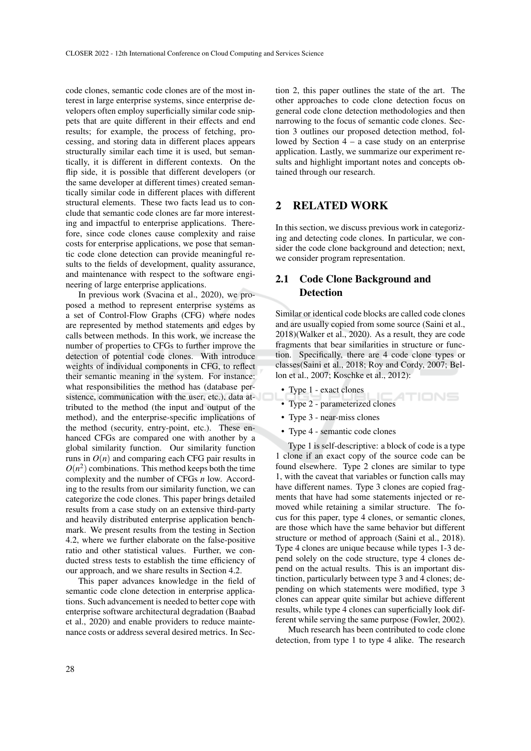code clones, semantic code clones are of the most interest in large enterprise systems, since enterprise developers often employ superficially similar code snippets that are quite different in their effects and end results; for example, the process of fetching, processing, and storing data in different places appears structurally similar each time it is used, but semantically, it is different in different contexts. On the flip side, it is possible that different developers (or the same developer at different times) created semantically similar code in different places with different structural elements. These two facts lead us to conclude that semantic code clones are far more interesting and impactful to enterprise applications. Therefore, since code clones cause complexity and raise costs for enterprise applications, we pose that semantic code clone detection can provide meaningful results to the fields of development, quality assurance, and maintenance with respect to the software engineering of large enterprise applications.

In previous work (Svacina et al., 2020), we proposed a method to represent enterprise systems as a set of Control-Flow Graphs (CFG) where nodes are represented by method statements and edges by calls between methods. In this work, we increase the number of properties to CFGs to further improve the detection of potential code clones. With introduce weights of individual components in CFG, to reflect their semantic meaning in the system. For instance: what responsibilities the method has (database persistence, communication with the user, etc.), data attributed to the method (the input and output of the method), and the enterprise-specific implications of the method (security, entry-point, etc.). These enhanced CFGs are compared one with another by a global similarity function. Our similarity function runs in  $O(n)$  and comparing each CFG pair results in  $O(n^2)$  combinations. This method keeps both the time complexity and the number of CFGs *n* low. According to the results from our similarity function, we can categorize the code clones. This paper brings detailed results from a case study on an extensive third-party and heavily distributed enterprise application benchmark. We present results from the testing in Section 4.2, where we further elaborate on the false-positive ratio and other statistical values. Further, we conducted stress tests to establish the time efficiency of our approach, and we share results in Section 4.2.

This paper advances knowledge in the field of semantic code clone detection in enterprise applications. Such advancement is needed to better cope with enterprise software architectural degradation (Baabad et al., 2020) and enable providers to reduce maintenance costs or address several desired metrics. In Sec-

tion 2, this paper outlines the state of the art. The other approaches to code clone detection focus on general code clone detection methodologies and then narrowing to the focus of semantic code clones. Section 3 outlines our proposed detection method, followed by Section 4 – a case study on an enterprise application. Lastly, we summarize our experiment results and highlight important notes and concepts obtained through our research.

### 2 RELATED WORK

In this section, we discuss previous work in categorizing and detecting code clones. In particular, we consider the code clone background and detection; next, we consider program representation.

## 2.1 Code Clone Background and **Detection**

Similar or identical code blocks are called code clones and are usually copied from some source (Saini et al., 2018)(Walker et al., 2020). As a result, they are code fragments that bear similarities in structure or function. Specifically, there are 4 code clone types or classes(Saini et al., 2018; Roy and Cordy, 2007; Bellon et al., 2007; Koschke et al., 2012):

- Type 1 exact clones
- TIONS • Type 2 - parameterized clones
- Type 3 near-miss clones
- Type 4 semantic code clones

Type 1 is self-descriptive: a block of code is a type 1 clone if an exact copy of the source code can be found elsewhere. Type 2 clones are similar to type 1, with the caveat that variables or function calls may have different names. Type 3 clones are copied fragments that have had some statements injected or removed while retaining a similar structure. The focus for this paper, type 4 clones, or semantic clones, are those which have the same behavior but different structure or method of approach (Saini et al., 2018). Type 4 clones are unique because while types 1-3 depend solely on the code structure, type 4 clones depend on the actual results. This is an important distinction, particularly between type 3 and 4 clones; depending on which statements were modified, type 3 clones can appear quite similar but achieve different results, while type 4 clones can superficially look different while serving the same purpose (Fowler, 2002).

Much research has been contributed to code clone detection, from type 1 to type 4 alike. The research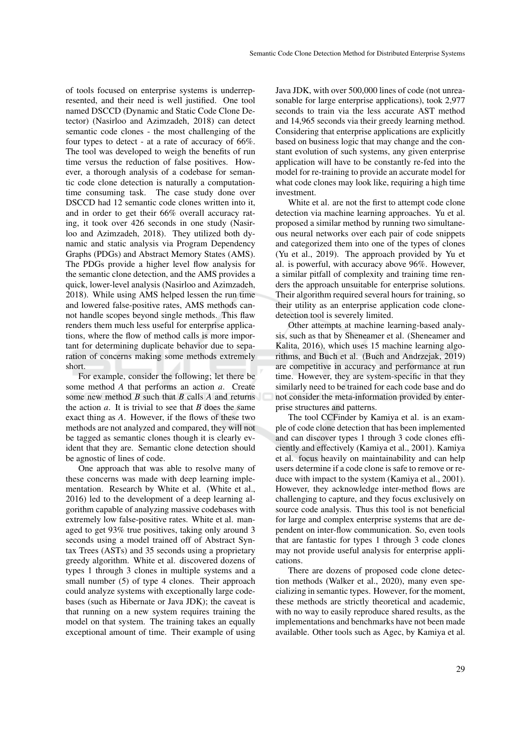of tools focused on enterprise systems is underrepresented, and their need is well justified. One tool named DSCCD (Dynamic and Static Code Clone Detector) (Nasirloo and Azimzadeh, 2018) can detect semantic code clones - the most challenging of the four types to detect - at a rate of accuracy of 66%. The tool was developed to weigh the benefits of run time versus the reduction of false positives. However, a thorough analysis of a codebase for semantic code clone detection is naturally a computationtime consuming task. The case study done over DSCCD had 12 semantic code clones written into it, and in order to get their 66% overall accuracy rating, it took over 426 seconds in one study (Nasirloo and Azimzadeh, 2018). They utilized both dynamic and static analysis via Program Dependency Graphs (PDGs) and Abstract Memory States (AMS). The PDGs provide a higher level flow analysis for the semantic clone detection, and the AMS provides a quick, lower-level analysis (Nasirloo and Azimzadeh, 2018). While using AMS helped lessen the run time and lowered false-positive rates, AMS methods cannot handle scopes beyond single methods. This flaw renders them much less useful for enterprise applications, where the flow of method calls is more important for determining duplicate behavior due to separation of concerns making some methods extremely short.

For example, consider the following; let there be some method *A* that performs an action *a*. Create some new method *B* such that *B* calls *A* and returns the action *a*. It is trivial to see that *B* does the same exact thing as *A*. However, if the flows of these two methods are not analyzed and compared, they will not be tagged as semantic clones though it is clearly evident that they are. Semantic clone detection should be agnostic of lines of code.

One approach that was able to resolve many of these concerns was made with deep learning implementation. Research by White et al. (White et al., 2016) led to the development of a deep learning algorithm capable of analyzing massive codebases with extremely low false-positive rates. White et al. managed to get 93% true positives, taking only around 3 seconds using a model trained off of Abstract Syntax Trees (ASTs) and 35 seconds using a proprietary greedy algorithm. White et al. discovered dozens of types 1 through 3 clones in multiple systems and a small number (5) of type 4 clones. Their approach could analyze systems with exceptionally large codebases (such as Hibernate or Java JDK); the caveat is that running on a new system requires training the model on that system. The training takes an equally exceptional amount of time. Their example of using

Java JDK, with over 500,000 lines of code (not unreasonable for large enterprise applications), took 2,977 seconds to train via the less accurate AST method and 14,965 seconds via their greedy learning method. Considering that enterprise applications are explicitly based on business logic that may change and the constant evolution of such systems, any given enterprise application will have to be constantly re-fed into the model for re-training to provide an accurate model for what code clones may look like, requiring a high time investment.

White et al. are not the first to attempt code clone detection via machine learning approaches. Yu et al. proposed a similar method by running two simultaneous neural networks over each pair of code snippets and categorized them into one of the types of clones (Yu et al., 2019). The approach provided by Yu et al. is powerful, with accuracy above 96%. However, a similar pitfall of complexity and training time renders the approach unsuitable for enterprise solutions. Their algorithm required several hours for training, so their utility as an enterprise application code clonedetection tool is severely limited.

Other attempts at machine learning-based analysis, such as that by Sheneamer et al. (Sheneamer and Kalita, 2016), which uses 15 machine learning algorithms, and Buch et al. (Buch and Andrzejak, 2019) are competitive in accuracy and performance at run time. However, they are system-specific in that they similarly need to be trained for each code base and do not consider the meta-information provided by enterprise structures and patterns.

The tool CCFinder by Kamiya et al. is an example of code clone detection that has been implemented and can discover types 1 through 3 code clones efficiently and effectively (Kamiya et al., 2001). Kamiya et al. focus heavily on maintainability and can help users determine if a code clone is safe to remove or reduce with impact to the system (Kamiya et al., 2001). However, they acknowledge inter-method flows are challenging to capture, and they focus exclusively on source code analysis. Thus this tool is not beneficial for large and complex enterprise systems that are dependent on inter-flow communication. So, even tools that are fantastic for types 1 through 3 code clones may not provide useful analysis for enterprise applications.

There are dozens of proposed code clone detection methods (Walker et al., 2020), many even specializing in semantic types. However, for the moment, these methods are strictly theoretical and academic, with no way to easily reproduce shared results, as the implementations and benchmarks have not been made available. Other tools such as Agec, by Kamiya et al.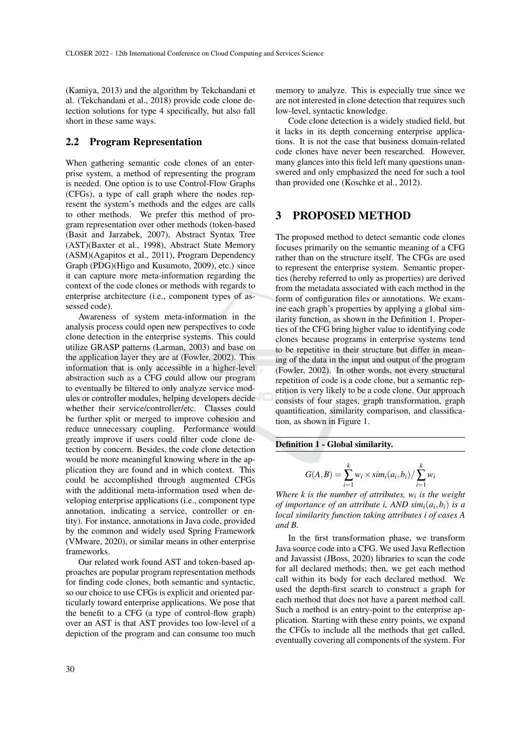(Kamiya, 2013) and the algorithm by Tekchandani et al. (Tekchandani et al., 2018) provide code clone detection solutions for type 4 specifically, but also fall short in these same ways.

### 2.2 Program Representation

When gathering semantic code clones of an enterprise system, a method of representing the program is needed. One option is to use Control-Flow Graphs (CFGs), a type of call graph where the nodes represent the system's methods and the edges are calls to other methods. We prefer this method of program representation over other methods (token-based (Basit and Jarzabek, 2007), Abstract Syntax Tree (AST)(Baxter et al., 1998), Abstract State Memory (ASM)(Agapitos et al., 2011), Program Dependency Graph (PDG)(Higo and Kusumoto, 2009), etc.) since it can capture more meta-information regarding the context of the code clones or methods with regards to enterprise architecture (i.e., component types of assessed code).

Awareness of system meta-information in the analysis process could open new perspectives to code clone detection in the enterprise systems. This could utilize GRASP patterns (Larman, 2003) and base on the application layer they are at (Fowler, 2002). This information that is only accessible in a higher-level abstraction such as a CFG could allow our program to eventually be filtered to only analyze service modules or controller modules, helping developers decide whether their service/controller/etc. Classes could be further split or merged to improve cohesion and reduce unnecessary coupling. Performance would greatly improve if users could filter code clone detection by concern. Besides, the code clone detection would be more meaningful knowing where in the application they are found and in which context. This could be accomplished through augmented CFGs with the additional meta-information used when developing enterprise applications (i.e., component type annotation, indicating a service, controller or entity). For instance, annotations in Java code, provided by the common and widely used Spring Framework (VMware, 2020), or similar means in other enterprise frameworks.

Our related work found AST and token-based approaches are popular program representation methods for finding code clones, both semantic and syntactic, so our choice to use CFGs is explicit and oriented particularly toward enterprise applications. We pose that the benefit to a CFG (a type of control-flow graph) over an AST is that AST provides too low-level of a depiction of the program and can consume too much memory to analyze. This is especially true since we are not interested in clone detection that requires such low-level, syntactic knowledge.

Code clone detection is a widely studied field, but it lacks in its depth concerning enterprise applications. It is not the case that business domain-related code clones have never been researched. However, many glances into this field left many questions unanswered and only emphasized the need for such a tool than provided one (Koschke et al., 2012).

### 3 PROPOSED METHOD

The proposed method to detect semantic code clones focuses primarily on the semantic meaning of a CFG rather than on the structure itself. The CFGs are used to represent the enterprise system. Semantic properties (hereby referred to only as properties) are derived from the metadata associated with each method in the form of configuration files or annotations. We examine each graph's properties by applying a global similarity function, as shown in the Definition 1. Properties of the CFG bring higher value to identifying code clones because programs in enterprise systems tend to be repetitive in their structure but differ in meaning of the data in the input and output of the program (Fowler, 2002). In other words, not every structural repetition of code is a code clone, but a semantic repetition is very likely to be a code clone. Our approach consists of four stages, graph transformation, graph quantification, similarity comparison, and classification, as shown in Figure 1.

#### Definition 1 - Global similarity.

$$
G(A,B) = \sum_{i=1}^{k} w_i \times sim_i(a_i,b_i) / \sum_{i=1}^{k} w_i
$$

*Where k is the number of attributes, w<sup>i</sup> is the weight of importance of an attribute i, AND simi*(*a<sup>i</sup>* ,*bi*) *is a local similarity function taking attributes i of cases A and B.*

In the first transformation phase, we transform Java source code into a CFG. We used Java Reflection and Javassist (JBoss, 2020) libraries to scan the code for all declared methods; then, we get each method call within its body for each declared method. We used the depth-first search to construct a graph for each method that does not have a parent method call. Such a method is an entry-point to the enterprise application. Starting with these entry points, we expand the CFGs to include all the methods that get called, eventually covering all components of the system. For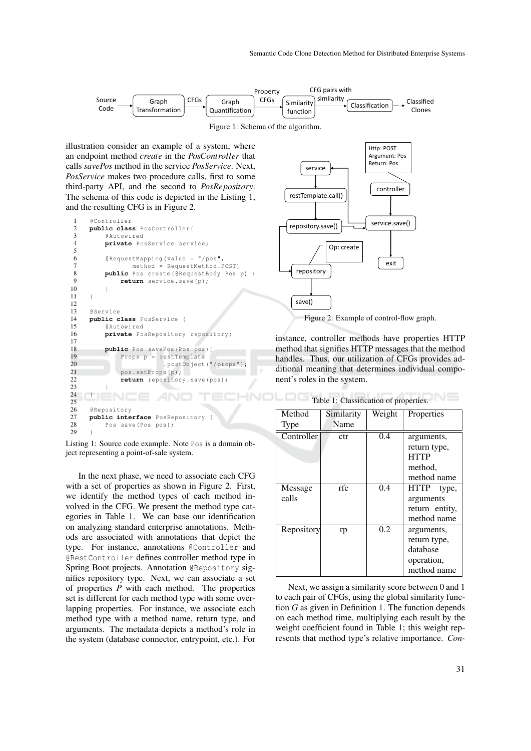

illustration consider an example of a system, where an endpoint method *create* in the *PosController* that calls *savePos* method in the service *PosService*. Next, *PosService* makes two procedure calls, first to some third-party API, and the second to *PosRepository*. The schema of this code is depicted in the Listing 1, and the resulting CFG is in Figure 2.

```
1 @Controller<br>2 public clas
2 public class PosController {<br>3 @ Autowired
 3 @Autowired<br>4 private Po
           4 private PosService service ;
5
6 \text{@RequestMapping (value = " / pos"},<br>
\text{7} method = RequestMethod F
7 method = RequestMethod . POST)<br>8 public Pos create (@RequestBody Pos
8 public Pos create (@RequestBody Pos p) {<br>9 return service save (b):
                return service.save(p);
10 }
11 - 112
13 @Service
14 public class PosService {
           15 @Autowired
16 private PosRepository repository;
17
18 public Pos savePos (Pos pos) {
19 Props p = restTemplate<br>20 postObiect
20 . postObject ("/props");<br>21 . pos. setProps (p);
                pos.setProps(p);
22 return repository.save (pos);
rac{22}{23}24 \Box2526 @Repository<br>27 public inte
27 public interface PosRepository
           Pos save (Pos pos);
29 }
```


In the next phase, we need to associate each CFG with a set of properties as shown in Figure 2. First, we identify the method types of each method involved in the CFG. We present the method type categories in Table 1. We can base our identification on analyzing standard enterprise annotations. Methods are associated with annotations that depict the type. For instance, annotations @Controller and @RestController defines controller method type in Spring Boot projects. Annotation @Repository signifies repository type. Next, we can associate a set of properties *P* with each method. The properties set is different for each method type with some overlapping properties. For instance, we associate each method type with a method name, return type, and arguments. The metadata depicts a method's role in the system (database connector, entrypoint, etc.). For



instance, controller methods have properties HTTP method that signifies HTTP messages that the method handles. Thus, our utilization of CFGs provides additional meaning that determines individual component's roles in the system.

| Method            | Similarity | Weight | Properties     |
|-------------------|------------|--------|----------------|
| Type              | Name       |        |                |
| Controller        | ctr        | 0.4    | arguments,     |
|                   |            |        | return type,   |
|                   |            |        | <b>HTTP</b>    |
|                   |            |        | method.        |
|                   |            |        | method name    |
| Message           | rfc        | 0.4    | HTTP<br>type,  |
| calls             |            |        | arguments      |
|                   |            |        | return entity, |
|                   |            |        | method name    |
| <b>Repository</b> | rp         | 0.2    | arguments,     |
|                   |            |        | return type,   |
|                   |            |        | database       |
|                   |            |        | operation,     |
|                   |            |        | method name    |

Next, we assign a similarity score between 0 and 1 to each pair of CFGs, using the global similarity function *G* as given in Definition 1. The function depends on each method time, multiplying each result by the weight coefficient found in Table 1; this weight represents that method type's relative importance. *Con-*

Table 1: Classification of properties.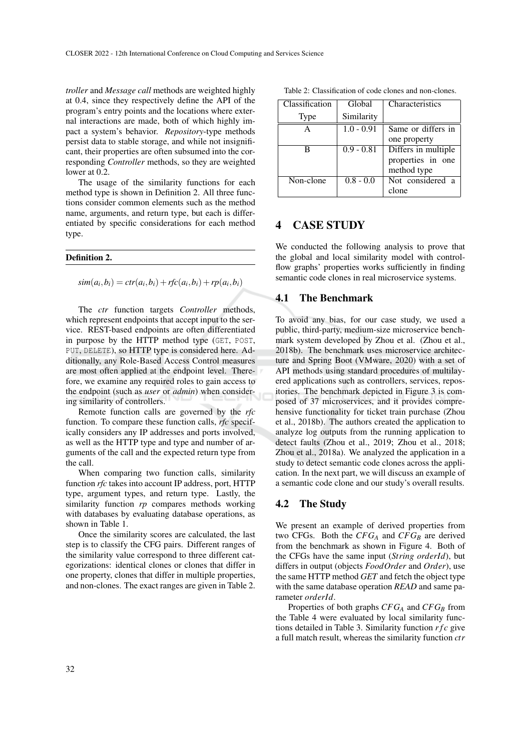*troller* and *Message call* methods are weighted highly at 0.4, since they respectively define the API of the program's entry points and the locations where external interactions are made, both of which highly impact a system's behavior. *Repository*-type methods persist data to stable storage, and while not insignificant, their properties are often subsumed into the corresponding *Controller* methods, so they are weighted lower at 0.2.

The usage of the similarity functions for each method type is shown in Definition 2. All three functions consider common elements such as the method name, arguments, and return type, but each is differentiated by specific considerations for each method type.

#### Definition 2.

 $\sin(a_i, b_i) = \text{ctr}(a_i, b_i) + \text{rfc}(a_i, b_i) + \text{rp}(a_i, b_i)$ 

The *ctr* function targets *Controller* methods, which represent endpoints that accept input to the service. REST-based endpoints are often differentiated in purpose by the HTTP method type (GET, POST, PUT, DELETE), so HTTP type is considered here. Additionally, any Role-Based Access Control measures are most often applied at the endpoint level. Therefore, we examine any required roles to gain access to the endpoint (such as *user* or *admin*) when considering similarity of controllers.

Remote function calls are governed by the *rfc* function. To compare these function calls, *rfc* specifically considers any IP addresses and ports involved, as well as the HTTP type and type and number of arguments of the call and the expected return type from the call.

When comparing two function calls, similarity function *rfc* takes into account IP address, port, HTTP type, argument types, and return type. Lastly, the similarity function *rp* compares methods working with databases by evaluating database operations, as shown in Table 1.

Once the similarity scores are calculated, the last step is to classify the CFG pairs. Different ranges of the similarity value correspond to three different categorizations: identical clones or clones that differ in one property, clones that differ in multiple properties, and non-clones. The exact ranges are given in Table 2.

Table 2: Classification of code clones and non-clones.

| Classification | Global       | Characteristics     |
|----------------|--------------|---------------------|
| Type           | Similarity   |                     |
| A              | $1.0 - 0.91$ | Same or differs in  |
|                |              | one property        |
| в              | $0.9 - 0.81$ | Differs in multiple |
|                |              | properties in one   |
|                |              | method type         |
| Non-clone      | $0.8 - 0.0$  | Not considered a    |
|                |              | clone               |

### 4 CASE STUDY

We conducted the following analysis to prove that the global and local similarity model with controlflow graphs' properties works sufficiently in finding semantic code clones in real microservice systems.

#### 4.1 The Benchmark

To avoid any bias, for our case study, we used a public, third-party, medium-size microservice benchmark system developed by Zhou et al. (Zhou et al., 2018b). The benchmark uses microservice architecture and Spring Boot (VMware, 2020) with a set of API methods using standard procedures of multilayered applications such as controllers, services, repositories. The benchmark depicted in Figure 3 is composed of 37 microservices, and it provides comprehensive functionality for ticket train purchase (Zhou et al., 2018b). The authors created the application to analyze log outputs from the running application to detect faults (Zhou et al., 2019; Zhou et al., 2018; Zhou et al., 2018a). We analyzed the application in a study to detect semantic code clones across the application. In the next part, we will discuss an example of a semantic code clone and our study's overall results.

#### 4.2 The Study

We present an example of derived properties from two CFGs. Both the  $CFG_A$  and  $CFG_B$  are derived from the benchmark as shown in Figure 4. Both of the CFGs have the same input (*String orderId*), but differs in output (objects *FoodOrder* and *Order*), use the same HTTP method *GET* and fetch the object type with the same database operation *READ* and same parameter *orderId*.

Properties of both graphs *CFG<sup>A</sup>* and *CFG<sup>B</sup>* from the Table 4 were evaluated by local similarity functions detailed in Table 3. Similarity function *r f c* give a full match result, whereas the similarity function *ctr*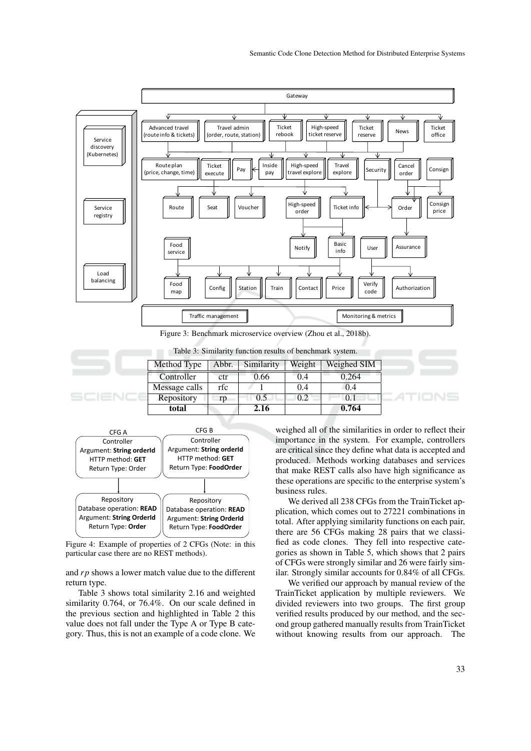

Table 3: Similarity function results of benchmark system.

| Method Type   | Abbr. | Similarity | Weight | Weighed SIM |
|---------------|-------|------------|--------|-------------|
| Controller    | ctr   | 0.66       | 0.4    | 0.264       |
| Message calls | rfc   |            | 0.4    | 0.4         |
| Repository    | rp    | 0.5        | 0.2    | 0.1         |
| total         |       | 2.16       |        | 0.764       |



Figure 4: Example of properties of 2 CFGs (Note: in this particular case there are no REST methods).

and *rp* shows a lower match value due to the different return type.

Table 3 shows total similarity 2.16 and weighted similarity 0.764, or 76.4%. On our scale defined in the previous section and highlighted in Table 2 this value does not fall under the Type A or Type B category. Thus, this is not an example of a code clone. We

weighed all of the similarities in order to reflect their importance in the system. For example, controllers are critical since they define what data is accepted and produced. Methods working databases and services that make REST calls also have high significance as these operations are specific to the enterprise system's business rules.

We derived all 238 CFGs from the TrainTicket application, which comes out to 27221 combinations in total. After applying similarity functions on each pair, there are 56 CFGs making 28 pairs that we classified as code clones. They fell into respective categories as shown in Table 5, which shows that 2 pairs of CFGs were strongly similar and 26 were fairly similar. Strongly similar accounts for 0.84% of all CFGs.

We verified our approach by manual review of the TrainTicket application by multiple reviewers. We divided reviewers into two groups. The first group verified results produced by our method, and the second group gathered manually results from TrainTicket without knowing results from our approach. The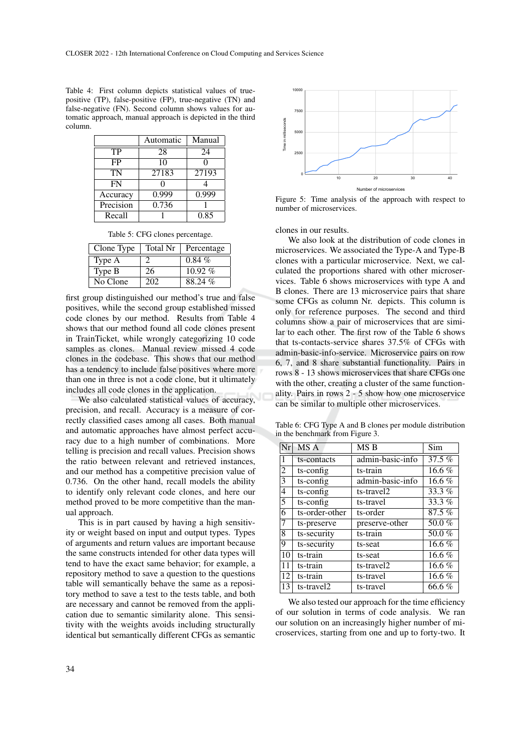| Table 4: First column depicts statistical values of true-  |
|------------------------------------------------------------|
| positive (TP), false-positive (FP), true-negative (TN) and |
| false-negative (FN). Second column shows values for au-    |
| tomatic approach, manual approach is depicted in the third |
| column.                                                    |

|           | Automatic | Manual |
|-----------|-----------|--------|
| TP        | 28        | 24     |
| FP        | 10        |        |
| TN        | 27183     | 27193  |
| FN        |           |        |
| Accuracy  | 0.999     | 0.999  |
| Precision | 0.736     |        |
| Recall    |           | 0.85   |

Table 5: CFG clones percentage.

| Clone Type | Total Nr | Percentage |
|------------|----------|------------|
| Type A     |          | $0.84\%$   |
| Type B     | 26       | $10.92\%$  |
| No Clone   | 202      | 88.24 %    |

first group distinguished our method's true and false positives, while the second group established missed code clones by our method. Results from Table 4 shows that our method found all code clones present in TrainTicket, while wrongly categorizing 10 code samples as clones. Manual review missed 4 code clones in the codebase. This shows that our method has a tendency to include false positives where more than one in three is not a code clone, but it ultimately includes all code clones in the application.

We also calculated statistical values of accuracy, precision, and recall. Accuracy is a measure of correctly classified cases among all cases. Both manual and automatic approaches have almost perfect accuracy due to a high number of combinations. More telling is precision and recall values. Precision shows the ratio between relevant and retrieved instances, and our method has a competitive precision value of 0.736. On the other hand, recall models the ability to identify only relevant code clones, and here our method proved to be more competitive than the manual approach.

This is in part caused by having a high sensitivity or weight based on input and output types. Types of arguments and return values are important because the same constructs intended for other data types will tend to have the exact same behavior; for example, a repository method to save a question to the questions table will semantically behave the same as a repository method to save a test to the tests table, and both are necessary and cannot be removed from the application due to semantic similarity alone. This sensitivity with the weights avoids including structurally identical but semantically different CFGs as semantic



Figure 5: Time analysis of the approach with respect to number of microservices.

clones in our results.

We also look at the distribution of code clones in microservices. We associated the Type-A and Type-B clones with a particular microservice. Next, we calculated the proportions shared with other microservices. Table 6 shows microservices with type A and B clones. There are 13 microservice pairs that share some CFGs as column Nr. depicts. This column is only for reference purposes. The second and third columns show a pair of microservices that are similar to each other. The first row of the Table 6 shows that ts-contacts-service shares 37.5% of CFGs with admin-basic-info-service. Microservice pairs on row 6, 7, and 8 share substantial functionality. Pairs in rows 8 - 13 shows microservices that share CFGs one with the other, creating a cluster of the same functionality. Pairs in rows 2 - 5 show how one microservice can be similar to multiple other microservices.

Table 6: CFG Type A and B clones per module distribution in the benchmark from Figure 3.

| $\overline{\rm Nr}$ | MS A           | MS <sub>B</sub>  | Sim      |
|---------------------|----------------|------------------|----------|
| 1                   | ts-contacts    | admin-basic-info | 37.5 %   |
| 2                   | ts-config      | ts-train         | 16.6 $%$ |
| $\overline{3}$      | ts-config      | admin-basic-info | 16.6 $%$ |
| $\overline{4}$      | ts-config      | ts-travel2       | 33.3 $%$ |
| 5                   | ts-config      | ts-travel        | 33.3%    |
| 6                   | ts-order-other | ts-order         | 87.5%    |
| 17                  | ts-preserve    | preserve-other   | 50.0%    |
| 8                   | ts-security    | ts-train         | 50.0%    |
| <b>9</b>            | ts-security    | ts-seat          | 16.6 $%$ |
| 10 <sup>1</sup>     | ts-train       | ts-seat          | 16.6 $%$ |
| 11                  | ts-train       | ts-travel2       | 16.6 $%$ |
| 12                  | ts-train       | ts-travel        | 16.6 $%$ |
| 13                  | ts-travel2     | ts-travel        | 66.6%    |

We also tested our approach for the time efficiency of our solution in terms of code analysis. We ran our solution on an increasingly higher number of microservices, starting from one and up to forty-two. It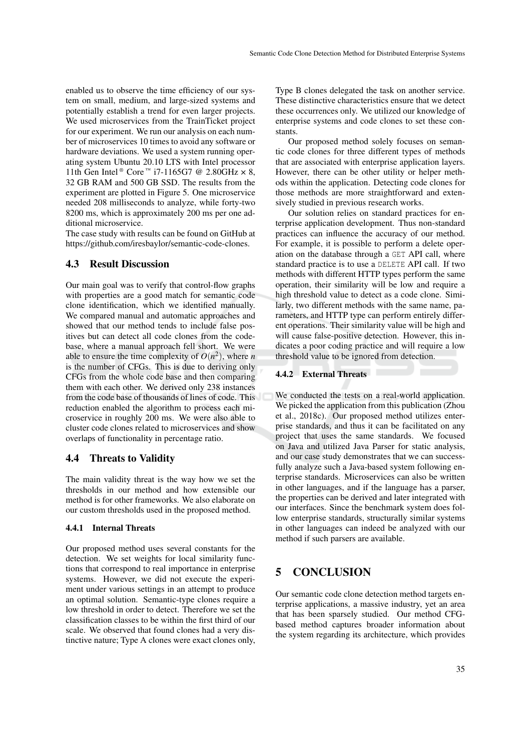enabled us to observe the time efficiency of our system on small, medium, and large-sized systems and potentially establish a trend for even larger projects. We used microservices from the TrainTicket project for our experiment. We run our analysis on each number of microservices 10 times to avoid any software or hardware deviations. We used a system running operating system Ubuntu 20.10 LTS with Intel processor 11th Gen Intel ® Core ™ i7-1165G7 @ 2.80GHz  $\times$  8, 32 GB RAM and 500 GB SSD. The results from the experiment are plotted in Figure 5. One microservice needed 208 milliseconds to analyze, while forty-two 8200 ms, which is approximately 200 ms per one additional microservice.

The case study with results can be found on GitHub at https://github.com/iresbaylor/semantic-code-clones.

### 4.3 Result Discussion

Our main goal was to verify that control-flow graphs with properties are a good match for semantic code clone identification, which we identified manually. We compared manual and automatic approaches and showed that our method tends to include false positives but can detect all code clones from the codebase, where a manual approach fell short. We were able to ensure the time complexity of  $O(n^2)$ , where *n* is the number of CFGs. This is due to deriving only CFGs from the whole code base and then comparing them with each other. We derived only 238 instances from the code base of thousands of lines of code. This reduction enabled the algorithm to process each microservice in roughly 200 ms. We were also able to cluster code clones related to microservices and show overlaps of functionality in percentage ratio.

#### 4.4 Threats to Validity

The main validity threat is the way how we set the thresholds in our method and how extensible our method is for other frameworks. We also elaborate on our custom thresholds used in the proposed method.

#### 4.4.1 Internal Threats

Our proposed method uses several constants for the detection. We set weights for local similarity functions that correspond to real importance in enterprise systems. However, we did not execute the experiment under various settings in an attempt to produce an optimal solution. Semantic-type clones require a low threshold in order to detect. Therefore we set the classification classes to be within the first third of our scale. We observed that found clones had a very distinctive nature; Type A clones were exact clones only,

Type B clones delegated the task on another service. These distinctive characteristics ensure that we detect these occurrences only. We utilized our knowledge of enterprise systems and code clones to set these constants.

Our proposed method solely focuses on semantic code clones for three different types of methods that are associated with enterprise application layers. However, there can be other utility or helper methods within the application. Detecting code clones for those methods are more straightforward and extensively studied in previous research works.

Our solution relies on standard practices for enterprise application development. Thus non-standard practices can influence the accuracy of our method. For example, it is possible to perform a delete operation on the database through a GET API call, where standard practice is to use a DELETE API call. If two methods with different HTTP types perform the same operation, their similarity will be low and require a high threshold value to detect as a code clone. Similarly, two different methods with the same name, parameters, and HTTP type can perform entirely different operations. Their similarity value will be high and will cause false-positive detection. However, this indicates a poor coding practice and will require a low threshold value to be ignored from detection.

#### 4.4.2 External Threats

We conducted the tests on a real-world application. We picked the application from this publication (Zhou et al., 2018c). Our proposed method utilizes enterprise standards, and thus it can be facilitated on any project that uses the same standards. We focused on Java and utilized Java Parser for static analysis, and our case study demonstrates that we can successfully analyze such a Java-based system following enterprise standards. Microservices can also be written in other languages, and if the language has a parser, the properties can be derived and later integrated with our interfaces. Since the benchmark system does follow enterprise standards, structurally similar systems in other languages can indeed be analyzed with our method if such parsers are available.

## 5 CONCLUSION

Our semantic code clone detection method targets enterprise applications, a massive industry, yet an area that has been sparsely studied. Our method CFGbased method captures broader information about the system regarding its architecture, which provides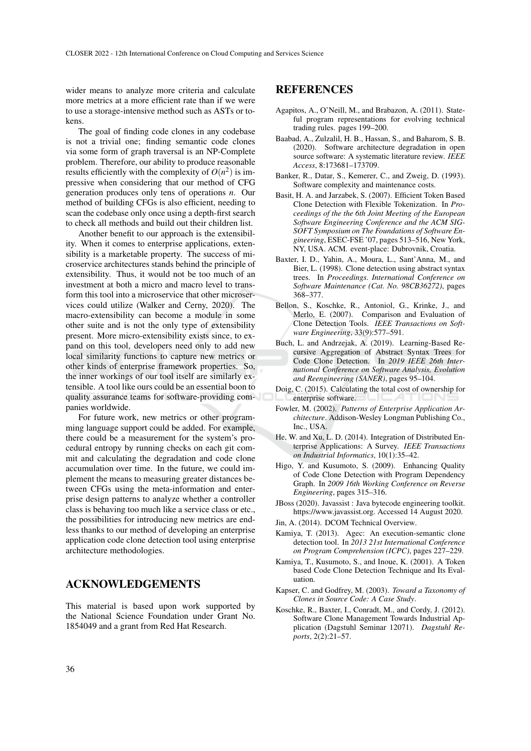wider means to analyze more criteria and calculate more metrics at a more efficient rate than if we were to use a storage-intensive method such as ASTs or tokens.

The goal of finding code clones in any codebase is not a trivial one; finding semantic code clones via some form of graph traversal is an NP-Complete problem. Therefore, our ability to produce reasonable results efficiently with the complexity of  $O(n^2)$  is impressive when considering that our method of CFG generation produces only tens of operations *n*. Our method of building CFGs is also efficient, needing to scan the codebase only once using a depth-first search to check all methods and build out their children list.

Another benefit to our approach is the extensibility. When it comes to enterprise applications, extensibility is a marketable property. The success of microservice architectures stands behind the principle of extensibility. Thus, it would not be too much of an investment at both a micro and macro level to transform this tool into a microservice that other microservices could utilize (Walker and Cerny, 2020). The macro-extensibility can become a module in some other suite and is not the only type of extensibility present. More micro-extensibility exists since, to expand on this tool, developers need only to add new local similarity functions to capture new metrics or other kinds of enterprise framework properties. So, the inner workings of our tool itself are similarly extensible. A tool like ours could be an essential boon to quality assurance teams for software-providing companies worldwide.

For future work, new metrics or other programming language support could be added. For example, there could be a measurement for the system's procedural entropy by running checks on each git commit and calculating the degradation and code clone accumulation over time. In the future, we could implement the means to measuring greater distances between CFGs using the meta-information and enterprise design patterns to analyze whether a controller class is behaving too much like a service class or etc., the possibilities for introducing new metrics are endless thanks to our method of developing an enterprise application code clone detection tool using enterprise architecture methodologies.

### ACKNOWLEDGEMENTS

This material is based upon work supported by the National Science Foundation under Grant No. 1854049 and a grant from Red Hat Research.

### REFERENCES

- Agapitos, A., O'Neill, M., and Brabazon, A. (2011). Stateful program representations for evolving technical trading rules. pages 199–200.
- Baabad, A., Zulzalil, H. B., Hassan, S., and Baharom, S. B. (2020). Software architecture degradation in open source software: A systematic literature review. *IEEE Access*, 8:173681–173709.
- Banker, R., Datar, S., Kemerer, C., and Zweig, D. (1993). Software complexity and maintenance costs.
- Basit, H. A. and Jarzabek, S. (2007). Efficient Token Based Clone Detection with Flexible Tokenization. In *Proceedings of the the 6th Joint Meeting of the European Software Engineering Conference and the ACM SIG-SOFT Symposium on The Foundations of Software Engineering*, ESEC-FSE '07, pages 513–516, New York, NY, USA. ACM. event-place: Dubrovnik, Croatia.
- Baxter, I. D., Yahin, A., Moura, L., Sant'Anna, M., and Bier, L. (1998). Clone detection using abstract syntax trees. In *Proceedings. International Conference on Software Maintenance (Cat. No. 98CB36272)*, pages 368–377.
- Bellon, S., Koschke, R., Antoniol, G., Krinke, J., and Merlo, E. (2007). Comparison and Evaluation of Clone Detection Tools. *IEEE Transactions on Software Engineering*, 33(9):577–591.
- Buch, L. and Andrzejak, A. (2019). Learning-Based Recursive Aggregation of Abstract Syntax Trees for Code Clone Detection. In *2019 IEEE 26th International Conference on Software Analysis, Evolution and Reengineering (SANER)*, pages 95–104.
- Doig, C. (2015). Calculating the total cost of ownership for enterprise software.
- Fowler, M. (2002). *Patterns of Enterprise Application Architecture*. Addison-Wesley Longman Publishing Co., Inc., USA.
- He, W. and Xu, L. D. (2014). Integration of Distributed Enterprise Applications: A Survey. *IEEE Transactions on Industrial Informatics*, 10(1):35–42.
- Higo, Y. and Kusumoto, S. (2009). Enhancing Quality of Code Clone Detection with Program Dependency Graph. In *2009 16th Working Conference on Reverse Engineering*, pages 315–316.
- JBoss (2020). Javassist : Java bytecode engineering toolkit. https://www.javassist.org. Accessed 14 August 2020.
- Jin, A. (2014). DCOM Technical Overview.
- Kamiya, T. (2013). Agec: An execution-semantic clone detection tool. In *2013 21st International Conference on Program Comprehension (ICPC)*, pages 227–229.
- Kamiya, T., Kusumoto, S., and Inoue, K. (2001). A Token based Code Clone Detection Technique and Its Evaluation.
- Kapser, C. and Godfrey, M. (2003). *Toward a Taxonomy of Clones in Source Code: A Case Study*.
- Koschke, R., Baxter, I., Conradt, M., and Cordy, J. (2012). Software Clone Management Towards Industrial Application (Dagstuhl Seminar 12071). *Dagstuhl Reports*, 2(2):21–57.